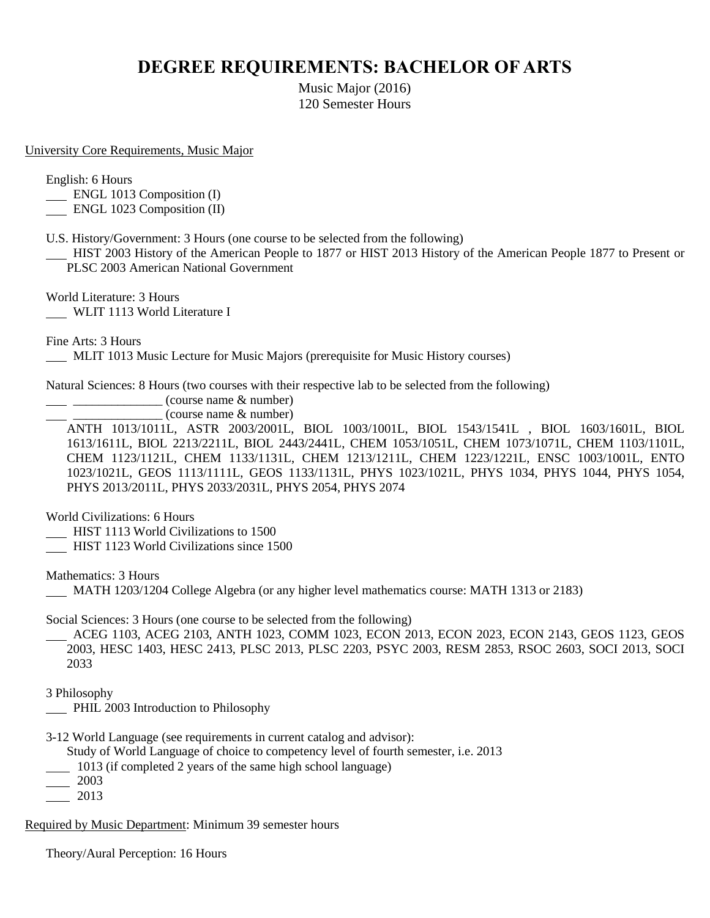## **DEGREE REQUIREMENTS: BACHELOR OF ARTS**

Music Major (2016) 120 Semester Hours

University Core Requirements, Music Major

English: 6 Hours

**ENGL 1013 Composition (I)** 

**ENGL 1023 Composition (II)** 

U.S. History/Government: 3 Hours (one course to be selected from the following) HIST 2003 History of the American People to 1877 or HIST 2013 History of the American People 1877 to Present or PLSC 2003 American National Government

World Literature: 3 Hours WLIT 1113 World Literature I

Fine Arts: 3 Hours

MLIT 1013 Music Lecture for Music Majors (prerequisite for Music History courses)

Natural Sciences: 8 Hours (two courses with their respective lab to be selected from the following)

 $\frac{1}{2}$   $\frac{1}{2}$   $\frac{1}{2}$   $\frac{1}{2}$  (course name & number)

 $\equiv$  (course name  $\&$  number)

ANTH 1013/1011L, ASTR 2003/2001L, BIOL 1003/1001L, BIOL 1543/1541L , BIOL 1603/1601L, BIOL 1613/1611L, BIOL 2213/2211L, BIOL 2443/2441L, CHEM 1053/1051L, CHEM 1073/1071L, CHEM 1103/1101L, CHEM 1123/1121L, CHEM 1133/1131L, CHEM 1213/1211L, CHEM 1223/1221L, ENSC 1003/1001L, ENTO 1023/1021L, GEOS 1113/1111L, GEOS 1133/1131L, PHYS 1023/1021L, PHYS 1034, PHYS 1044, PHYS 1054, PHYS 2013/2011L, PHYS 2033/2031L, PHYS 2054, PHYS 2074

World Civilizations: 6 Hours

- HIST 1113 World Civilizations to 1500
- HIST 1123 World Civilizations since 1500

Mathematics: 3 Hours

MATH 1203/1204 College Algebra (or any higher level mathematics course: MATH 1313 or 2183)

Social Sciences: 3 Hours (one course to be selected from the following)

 ACEG 1103, ACEG 2103, ANTH 1023, COMM 1023, ECON 2013, ECON 2023, ECON 2143, GEOS 1123, GEOS 2003, HESC 1403, HESC 2413, PLSC 2013, PLSC 2203, PSYC 2003, RESM 2853, RSOC 2603, SOCI 2013, SOCI 2033

3 Philosophy

- PHIL 2003 Introduction to Philosophy
- 3-12 World Language (see requirements in current catalog and advisor):

Study of World Language of choice to competency level of fourth semester, i.e. 2013

- 1013 (if completed 2 years of the same high school language)
- 2003
- 2013

Required by Music Department: Minimum 39 semester hours

Theory/Aural Perception: 16 Hours